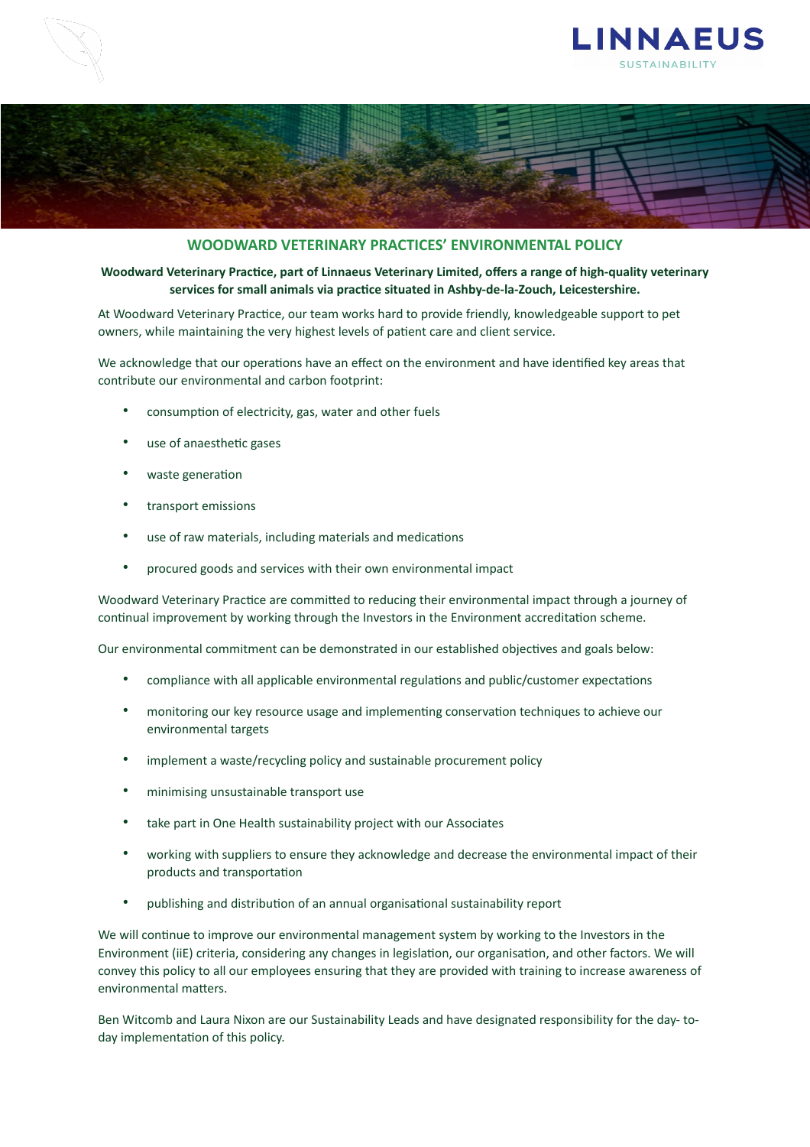



## **WOODWARD VETERINARY PRACTICES' ENVIRONMENTAL POLICY**

## Woodward Veterinary Practice, part of Linnaeus Veterinary Limited, offers a range of high-quality veterinary services for small animals via practice situated in Ashby-de-la-Zouch, Leicestershire.

At Woodward Veterinary Practice, our team works hard to provide friendly, knowledgeable support to pet owners, while maintaining the very highest levels of patient care and client service.

We acknowledge that our operations have an effect on the environment and have identified key areas that contribute our environmental and carbon footprint:

- consumption of electricity, gas, water and other fuels
- use of anaesthetic gases
- waste generation
- transport emissions
- use of raw materials, including materials and medications
- procured goods and services with their own environmental impact

Woodward Veterinary Practice are committed to reducing their environmental impact through a journey of continual improvement by working through the Investors in the Environment accreditation scheme.

Our environmental commitment can be demonstrated in our established objectives and goals below:

- compliance with all applicable environmental regulations and public/customer expectations
- monitoring our key resource usage and implementing conservation techniques to achieve our environmental targets
- implement a waste/recycling policy and sustainable procurement policy
- minimising unsustainable transport use
- take part in One Health sustainability project with our Associates
- working with suppliers to ensure they acknowledge and decrease the environmental impact of their products and transportation
- publishing and distribution of an annual organisational sustainability report

We will continue to improve our environmental management system by working to the Investors in the Environment (iiE) criteria, considering any changes in legislation, our organisation, and other factors. We will convey this policy to all our employees ensuring that they are provided with training to increase awareness of environmental matters.

Ben Witcomb and Laura Nixon are our Sustainability Leads and have designated responsibility for the day- today implementation of this policy.